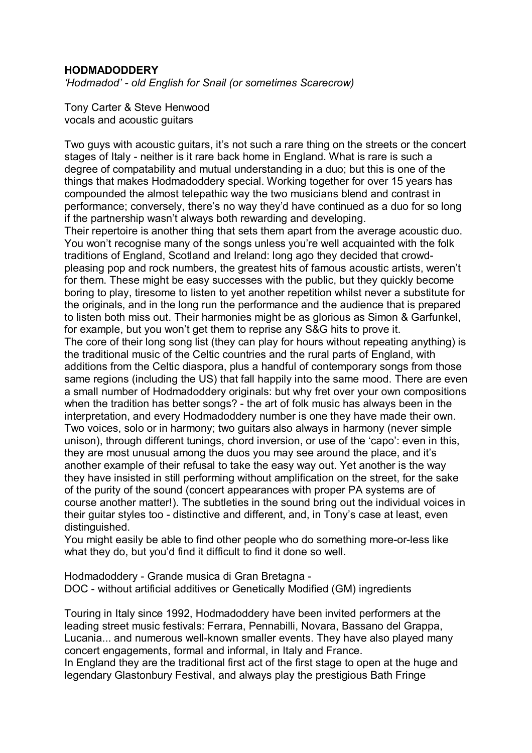## **HODMADODDERY**

*ëHodmadodí - old English for Snail (or sometimes Scarecrow)*

Tony Carter & Steve Henwood vocals and acoustic guitars

Two guys with acoustic guitars, it's not such a rare thing on the streets or the concert stages of Italy - neither is it rare back home in England. What is rare is such a degree of compatability and mutual understanding in a duo; but this is one of the things that makes Hodmadoddery special. Working together for over 15 years has compounded the almost telepathic way the two musicians blend and contrast in performance; conversely, there's no way they'd have continued as a duo for so long if the partnership wasn't always both rewarding and developing. Their repertoire is another thing that sets them apart from the average acoustic duo. You won't recognise many of the songs unless you're well acquainted with the folk traditions of England, Scotland and Ireland: long ago they decided that crowdpleasing pop and rock numbers, the greatest hits of famous acoustic artists, werenít for them. These might be easy successes with the public, but they quickly become boring to play, tiresome to listen to yet another repetition whilst never a substitute for the originals, and in the long run the performance and the audience that is prepared to listen both miss out. Their harmonies might be as glorious as Simon & Garfunkel, for example, but you won't get them to reprise any S&G hits to prove it. The core of their long song list (they can play for hours without repeating anything) is the traditional music of the Celtic countries and the rural parts of England, with additions from the Celtic diaspora, plus a handful of contemporary songs from those same regions (including the US) that fall happily into the same mood. There are even a small number of Hodmadoddery originals: but why fret over your own compositions when the tradition has better songs? - the art of folk music has always been in the interpretation, and every Hodmadoddery number is one they have made their own. Two voices, solo or in harmony; two guitars also always in harmony (never simple unison), through different tunings, chord inversion, or use of the 'capo': even in this, they are most unusual among the duos you may see around the place, and it's another example of their refusal to take the easy way out. Yet another is the way they have insisted in still performing without amplification on the street, for the sake of the purity of the sound (concert appearances with proper PA systems are of course another matter!). The subtleties in the sound bring out the individual voices in their guitar styles too - distinctive and different, and, in Tonyís case at least, even distinguished.

You might easily be able to find other people who do something more-or-less like what they do, but you'd find it difficult to find it done so well.

Hodmadoddery - Grande musica di Gran Bretagna - DOC - without artificial additives or Genetically Modified (GM) ingredients

Touring in Italy since 1992, Hodmadoddery have been invited performers at the leading street music festivals: Ferrara, Pennabilli, Novara, Bassano del Grappa, Lucania... and numerous well-known smaller events. They have also played many concert engagements, formal and informal, in Italy and France.

In England they are the traditional first act of the first stage to open at the huge and legendary Glastonbury Festival, and always play the prestigious Bath Fringe